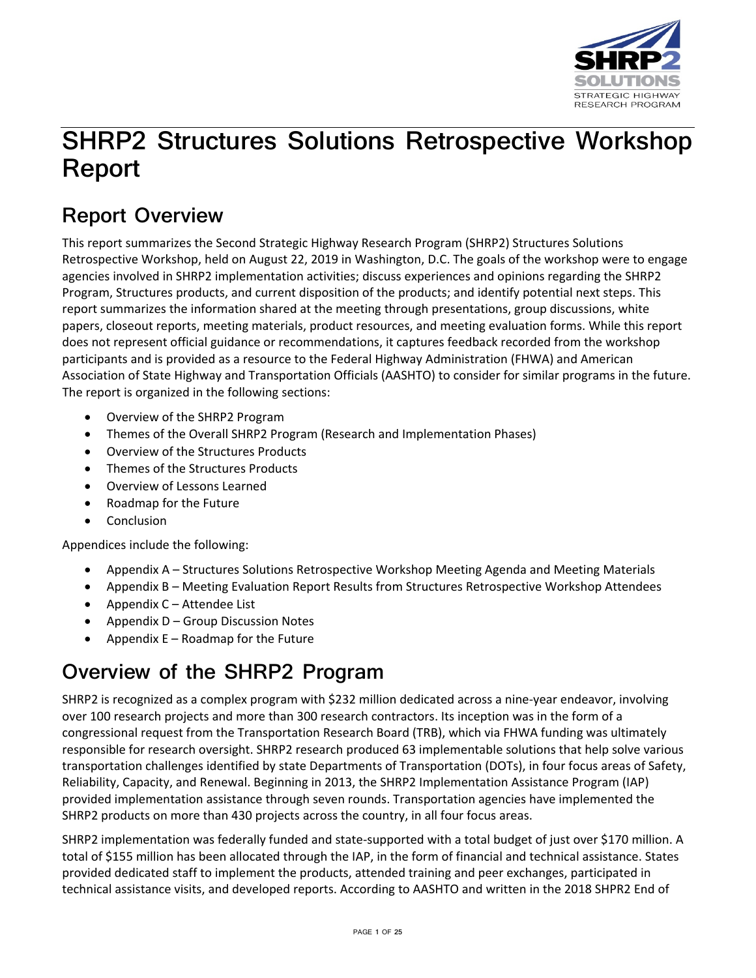

# **SHRP2 Structures Solutions Retrospective Workshop Report**

# **Report Overview**

This report summarizes the Second Strategic Highway Research Program (SHRP2) Structures Solutions Retrospective Workshop, held on August 22, 2019 in Washington, D.C. The goals of the workshop were to engage agencies involved in SHRP2 implementation activities; discuss experiences and opinions regarding the SHRP2 Program, Structures products, and current disposition of the products; and identify potential next steps. This report summarizes the information shared at the meeting through presentations, group discussions, white papers, closeout reports, meeting materials, product resources, and meeting evaluation forms. While this report does not represent official guidance or recommendations, it captures feedback recorded from the workshop participants and is provided as a resource to the Federal Highway Administration (FHWA) and American Association of State Highway and Transportation Officials (AASHTO) to consider for similar programs in the future. The report is organized in the following sections:

- Overview of the SHRP2 Program
- Themes of the Overall SHRP2 Program (Research and Implementation Phases)
- Overview of the Structures Products
- Themes of the Structures Products
- Overview of Lessons Learned
- Roadmap for the Future
- Conclusion

Appendices include the following:

- Appendix A Structures Solutions Retrospective Workshop Meeting Agenda and Meeting Materials
- Appendix B Meeting Evaluation Report Results from Structures Retrospective Workshop Attendees
- Appendix C Attendee List
- Appendix D Group Discussion Notes
- Appendix  $E -$  Roadmap for the Future

# **Overview of the SHRP2 Program**

SHRP2 is recognized as a complex program with \$232 million dedicated across a nine-year endeavor, involving over 100 research projects and more than 300 research contractors. Its inception was in the form of a congressional request from the Transportation Research Board (TRB), which via FHWA funding was ultimately responsible for research oversight. SHRP2 research produced 63 implementable solutions that help solve various transportation challenges identified by state Departments of Transportation (DOTs), in four focus areas of Safety, Reliability, Capacity, and Renewal. Beginning in 2013, the SHRP2 Implementation Assistance Program (IAP) provided implementation assistance through seven rounds. Transportation agencies have implemented the SHRP2 products on more than 430 projects across the country, in all four focus areas.

SHRP2 implementation was federally funded and state-supported with a total budget of just over \$170 million. A total of \$155 million has been allocated through the IAP, in the form of financial and technical assistance. States provided dedicated staff to implement the products, attended training and peer exchanges, participated in technical assistance visits, and developed reports. According to AASHTO and written in the 2018 SHPR2 End of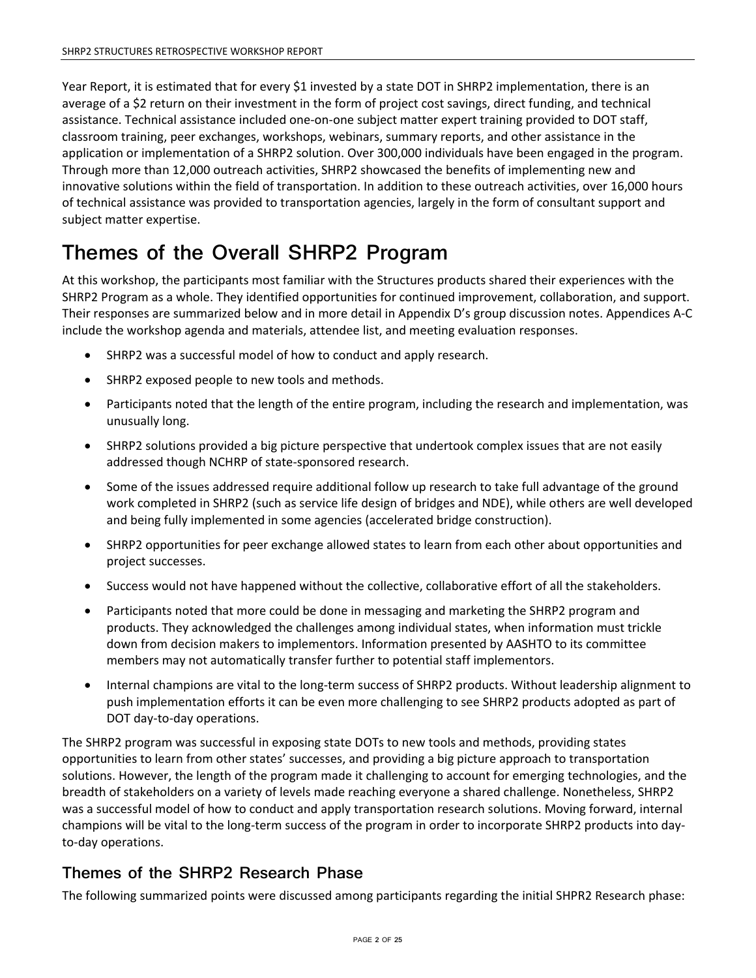Year Report, it is estimated that for every \$1 invested by a state DOT in SHRP2 implementation, there is an average of a \$2 return on their investment in the form of project cost savings, direct funding, and technical assistance. Technical assistance included one-on-one subject matter expert training provided to DOT staff, classroom training, peer exchanges, workshops, webinars, summary reports, and other assistance in the application or implementation of a SHRP2 solution. Over 300,000 individuals have been engaged in the program. Through more than 12,000 outreach activities, SHRP2 showcased the benefits of implementing new and innovative solutions within the field of transportation. In addition to these outreach activities, over 16,000 hours of technical assistance was provided to transportation agencies, largely in the form of consultant support and subject matter expertise.

# **Themes of the Overall SHRP2 Program**

At this workshop, the participants most familiar with the Structures products shared their experiences with the SHRP2 Program as a whole. They identified opportunities for continued improvement, collaboration, and support. Their responses are summarized below and in more detail in Appendix D's group discussion notes. Appendices A-C include the workshop agenda and materials, attendee list, and meeting evaluation responses.

- SHRP2 was a successful model of how to conduct and apply research.
- SHRP2 exposed people to new tools and methods.
- Participants noted that the length of the entire program, including the research and implementation, was unusually long.
- SHRP2 solutions provided a big picture perspective that undertook complex issues that are not easily addressed though NCHRP of state-sponsored research.
- Some of the issues addressed require additional follow up research to take full advantage of the ground work completed in SHRP2 (such as service life design of bridges and NDE), while others are well developed and being fully implemented in some agencies (accelerated bridge construction).
- SHRP2 opportunities for peer exchange allowed states to learn from each other about opportunities and project successes.
- Success would not have happened without the collective, collaborative effort of all the stakeholders.
- Participants noted that more could be done in messaging and marketing the SHRP2 program and products. They acknowledged the challenges among individual states, when information must trickle down from decision makers to implementors. Information presented by AASHTO to its committee members may not automatically transfer further to potential staff implementors.
- Internal champions are vital to the long-term success of SHRP2 products. Without leadership alignment to push implementation efforts it can be even more challenging to see SHRP2 products adopted as part of DOT day-to-day operations.

The SHRP2 program was successful in exposing state DOTs to new tools and methods, providing states opportunities to learn from other states' successes, and providing a big picture approach to transportation solutions. However, the length of the program made it challenging to account for emerging technologies, and the breadth of stakeholders on a variety of levels made reaching everyone a shared challenge. Nonetheless, SHRP2 was a successful model of how to conduct and apply transportation research solutions. Moving forward, internal champions will be vital to the long-term success of the program in order to incorporate SHRP2 products into dayto-day operations.

## **Themes of the SHRP2 Research Phase**

The following summarized points were discussed among participants regarding the initial SHPR2 Research phase: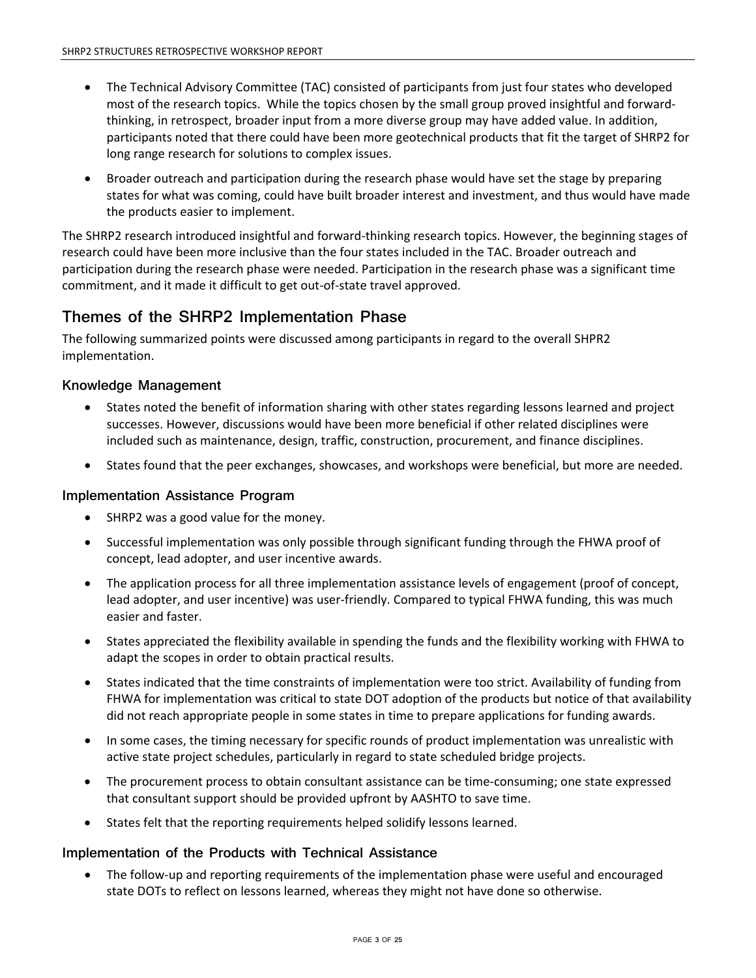- The Technical Advisory Committee (TAC) consisted of participants from just four states who developed most of the research topics. While the topics chosen by the small group proved insightful and forwardthinking, in retrospect, broader input from a more diverse group may have added value. In addition, participants noted that there could have been more geotechnical products that fit the target of SHRP2 for long range research for solutions to complex issues.
- Broader outreach and participation during the research phase would have set the stage by preparing states for what was coming, could have built broader interest and investment, and thus would have made the products easier to implement.

The SHRP2 research introduced insightful and forward-thinking research topics. However, the beginning stages of research could have been more inclusive than the four states included in the TAC. Broader outreach and participation during the research phase were needed. Participation in the research phase was a significant time commitment, and it made it difficult to get out-of-state travel approved.

## **Themes of the SHRP2 Implementation Phase**

The following summarized points were discussed among participants in regard to the overall SHPR2 implementation.

### **Knowledge Management**

- States noted the benefit of information sharing with other states regarding lessons learned and project successes. However, discussions would have been more beneficial if other related disciplines were included such as maintenance, design, traffic, construction, procurement, and finance disciplines.
- States found that the peer exchanges, showcases, and workshops were beneficial, but more are needed.

### **Implementation Assistance Program**

- SHRP2 was a good value for the money.
- Successful implementation was only possible through significant funding through the FHWA proof of concept, lead adopter, and user incentive awards.
- The application process for all three implementation assistance levels of engagement (proof of concept, lead adopter, and user incentive) was user-friendly. Compared to typical FHWA funding, this was much easier and faster.
- States appreciated the flexibility available in spending the funds and the flexibility working with FHWA to adapt the scopes in order to obtain practical results.
- States indicated that the time constraints of implementation were too strict. Availability of funding from FHWA for implementation was critical to state DOT adoption of the products but notice of that availability did not reach appropriate people in some states in time to prepare applications for funding awards.
- In some cases, the timing necessary for specific rounds of product implementation was unrealistic with active state project schedules, particularly in regard to state scheduled bridge projects.
- The procurement process to obtain consultant assistance can be time-consuming; one state expressed that consultant support should be provided upfront by AASHTO to save time.
- States felt that the reporting requirements helped solidify lessons learned.

### **Implementation of the Products with Technical Assistance**

• The follow-up and reporting requirements of the implementation phase were useful and encouraged state DOTs to reflect on lessons learned, whereas they might not have done so otherwise.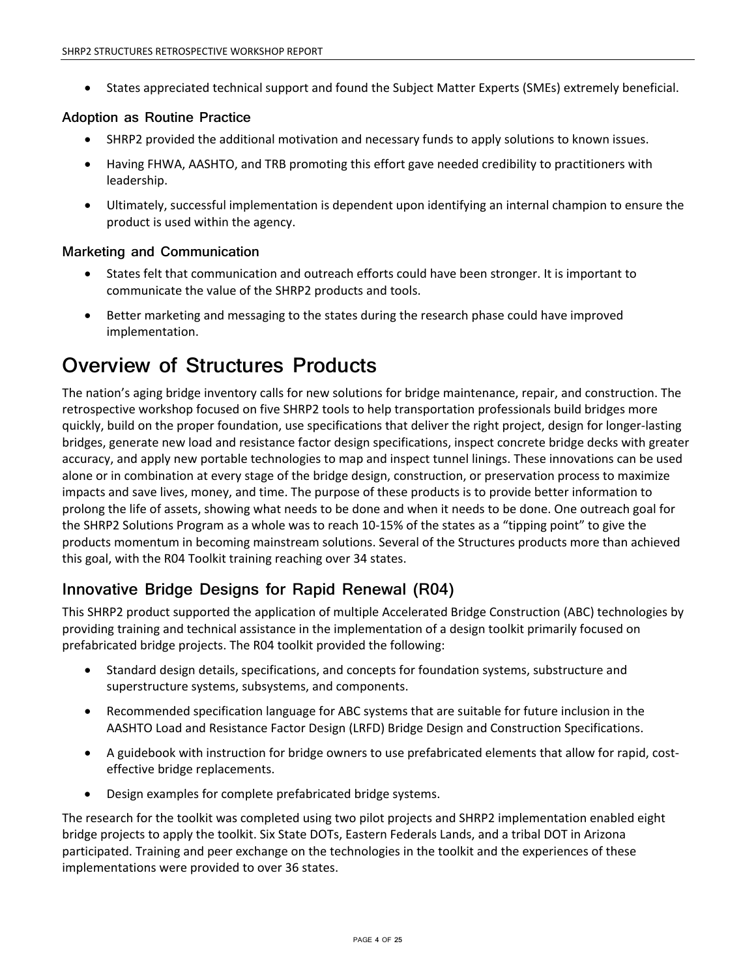• States appreciated technical support and found the Subject Matter Experts (SMEs) extremely beneficial.

### **Adoption as Routine Practice**

- SHRP2 provided the additional motivation and necessary funds to apply solutions to known issues.
- Having FHWA, AASHTO, and TRB promoting this effort gave needed credibility to practitioners with leadership.
- Ultimately, successful implementation is dependent upon identifying an internal champion to ensure the product is used within the agency.

## **Marketing and Communication**

- States felt that communication and outreach efforts could have been stronger. It is important to communicate the value of the SHRP2 products and tools.
- Better marketing and messaging to the states during the research phase could have improved implementation.

# **Overview of Structures Products**

The nation's aging bridge inventory calls for new solutions for bridge maintenance, repair, and construction. The retrospective workshop focused on five SHRP2 tools to help transportation professionals build bridges more quickly, build on the proper foundation, use specifications that deliver the right project, design for longer-lasting bridges, generate new load and resistance factor design specifications, inspect concrete bridge decks with greater accuracy, and apply new portable technologies to map and inspect tunnel linings. These innovations can be used alone or in combination at every stage of the bridge design, construction, or preservation process to maximize impacts and save lives, money, and time. The purpose of these products is to provide better information to prolong the life of assets, showing what needs to be done and when it needs to be done. One outreach goal for the SHRP2 Solutions Program as a whole was to reach 10-15% of the states as a "tipping point" to give the products momentum in becoming mainstream solutions. Several of the Structures products more than achieved this goal, with the R04 Toolkit training reaching over 34 states.

## **Innovative Bridge Designs for Rapid Renewal (R04)**

This SHRP2 product supported the application of multiple Accelerated Bridge Construction (ABC) technologies by providing training and technical assistance in the implementation of a design toolkit primarily focused on prefabricated bridge projects. The R04 toolkit provided the following:

- Standard design details, specifications, and concepts for foundation systems, substructure and superstructure systems, subsystems, and components.
- Recommended specification language for ABC systems that are suitable for future inclusion in the AASHTO Load and Resistance Factor Design (LRFD) Bridge Design and Construction Specifications.
- A guidebook with instruction for bridge owners to use prefabricated elements that allow for rapid, costeffective bridge replacements.
- Design examples for complete prefabricated bridge systems.

The research for the toolkit was completed using two pilot projects and SHRP2 implementation enabled eight bridge projects to apply the toolkit. Six State DOTs, Eastern Federals Lands, and a tribal DOT in Arizona participated. Training and peer exchange on the technologies in the toolkit and the experiences of these implementations were provided to over 36 states.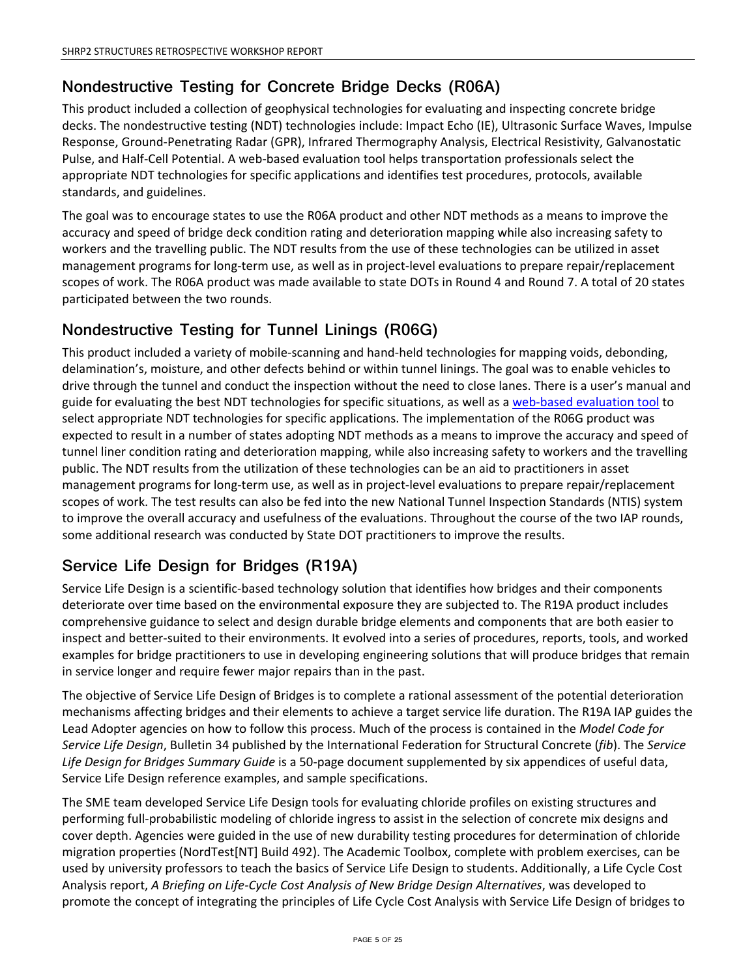## **Nondestructive Testing for Concrete Bridge Decks (R06A)**

This product included a collection of geophysical technologies for evaluating and inspecting concrete bridge decks. The nondestructive testing (NDT) technologies include: Impact Echo (IE), Ultrasonic Surface Waves, Impulse Response, Ground-Penetrating Radar (GPR), Infrared Thermography Analysis, Electrical Resistivity, Galvanostatic Pulse, and Half-Cell Potential. A web-based evaluation tool helps transportation professionals select the appropriate NDT technologies for specific applications and identifies test procedures, protocols, available standards, and guidelines.

The goal was to encourage states to use the R06A product and other NDT methods as a means to improve the accuracy and speed of bridge deck condition rating and deterioration mapping while also increasing safety to workers and the travelling public. The NDT results from the use of these technologies can be utilized in asset management programs for long-term use, as well as in project-level evaluations to prepare repair/replacement scopes of work. The R06A product was made available to state DOTs in Round 4 and Round 7. A total of 20 states participated between the two rounds.

## **Nondestructive Testing for Tunnel Linings (R06G)**

This product included a variety of mobile-scanning and hand-held technologies for mapping voids, debonding, delamination's, moisture, and other defects behind or within tunnel linings. The goal was to enable vehicles to drive through the tunnel and conduct the inspection without the need to close lanes. There is a user's manual and guide for evaluating the best NDT technologies for specific situations, as well as a [web-based evaluation tool](https://fhwaapps.fhwa.dot.gov/ndep/) to select appropriate NDT technologies for specific applications. The implementation of the R06G product was expected to result in a number of states adopting NDT methods as a means to improve the accuracy and speed of tunnel liner condition rating and deterioration mapping, while also increasing safety to workers and the travelling public. The NDT results from the utilization of these technologies can be an aid to practitioners in asset management programs for long-term use, as well as in project-level evaluations to prepare repair/replacement scopes of work. The test results can also be fed into the new National Tunnel Inspection Standards (NTIS) system to improve the overall accuracy and usefulness of the evaluations. Throughout the course of the two IAP rounds, some additional research was conducted by State DOT practitioners to improve the results.

## **Service Life Design for Bridges (R19A)**

Service Life Design is a scientific-based technology solution that identifies how bridges and their components deteriorate over time based on the environmental exposure they are subjected to. The R19A product includes comprehensive guidance to select and design durable bridge elements and components that are both easier to inspect and better-suited to their environments. It evolved into a series of procedures, reports, tools, and worked examples for bridge practitioners to use in developing engineering solutions that will produce bridges that remain in service longer and require fewer major repairs than in the past.

The objective of Service Life Design of Bridges is to complete a rational assessment of the potential deterioration mechanisms affecting bridges and their elements to achieve a target service life duration. The R19A IAP guides the Lead Adopter agencies on how to follow this process. Much of the process is contained in the *Model Code for Service Life Design*, Bulletin 34 published by the International Federation for Structural Concrete (*fib*). The *Service Life Design for Bridges Summary Guide* is a 50-page document supplemented by six appendices of useful data, Service Life Design reference examples, and sample specifications.

The SME team developed Service Life Design tools for evaluating chloride profiles on existing structures and performing full-probabilistic modeling of chloride ingress to assist in the selection of concrete mix designs and cover depth. Agencies were guided in the use of new durability testing procedures for determination of chloride migration properties (NordTest[NT] Build 492). The Academic Toolbox, complete with problem exercises, can be used by university professors to teach the basics of Service Life Design to students. Additionally, a Life Cycle Cost Analysis report, *A Briefing on Life-Cycle Cost Analysis of New Bridge Design Alternatives*, was developed to promote the concept of integrating the principles of Life Cycle Cost Analysis with Service Life Design of bridges to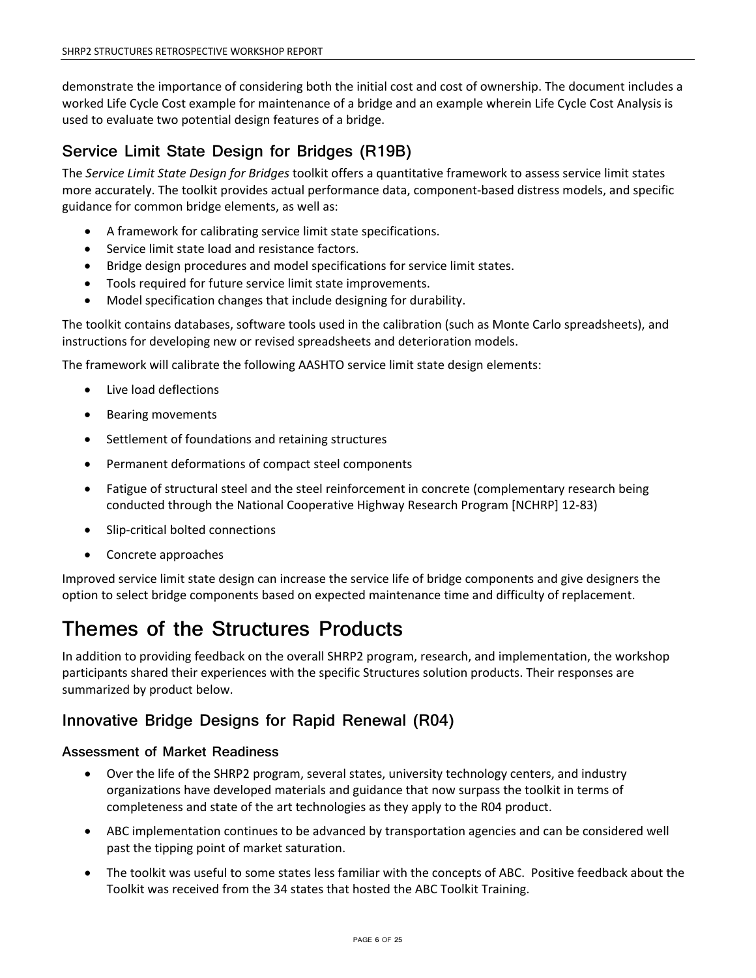demonstrate the importance of considering both the initial cost and cost of ownership. The document includes a worked Life Cycle Cost example for maintenance of a bridge and an example wherein Life Cycle Cost Analysis is used to evaluate two potential design features of a bridge.

## **Service Limit State Design for Bridges (R19B)**

The *Service Limit State Design for Bridges* toolkit offers a quantitative framework to assess service limit states more accurately. The toolkit provides actual performance data, component-based distress models, and specific guidance for common bridge elements, as well as:

- A framework for calibrating service limit state specifications.
- Service limit state load and resistance factors.
- Bridge design procedures and model specifications for service limit states.
- Tools required for future service limit state improvements.
- Model specification changes that include designing for durability.

The toolkit contains databases, software tools used in the calibration (such as Monte Carlo spreadsheets), and instructions for developing new or revised spreadsheets and deterioration models.

The framework will calibrate the following AASHTO service limit state design elements:

- Live load deflections
- Bearing movements
- Settlement of foundations and retaining structures
- Permanent deformations of compact steel components
- Fatigue of structural steel and the steel reinforcement in concrete (complementary research being conducted through the National Cooperative Highway Research Program [NCHRP] 12-83)
- Slip-critical bolted connections
- Concrete approaches

Improved service limit state design can increase the service life of bridge components and give designers the option to select bridge components based on expected maintenance time and difficulty of replacement.

## **Themes of the Structures Products**

In addition to providing feedback on the overall SHRP2 program, research, and implementation, the workshop participants shared their experiences with the specific Structures solution products. Their responses are summarized by product below.

## **Innovative Bridge Designs for Rapid Renewal (R04)**

### **Assessment of Market Readiness**

- Over the life of the SHRP2 program, several states, university technology centers, and industry organizations have developed materials and guidance that now surpass the toolkit in terms of completeness and state of the art technologies as they apply to the R04 product.
- ABC implementation continues to be advanced by transportation agencies and can be considered well past the tipping point of market saturation.
- The toolkit was useful to some states less familiar with the concepts of ABC. Positive feedback about the Toolkit was received from the 34 states that hosted the ABC Toolkit Training.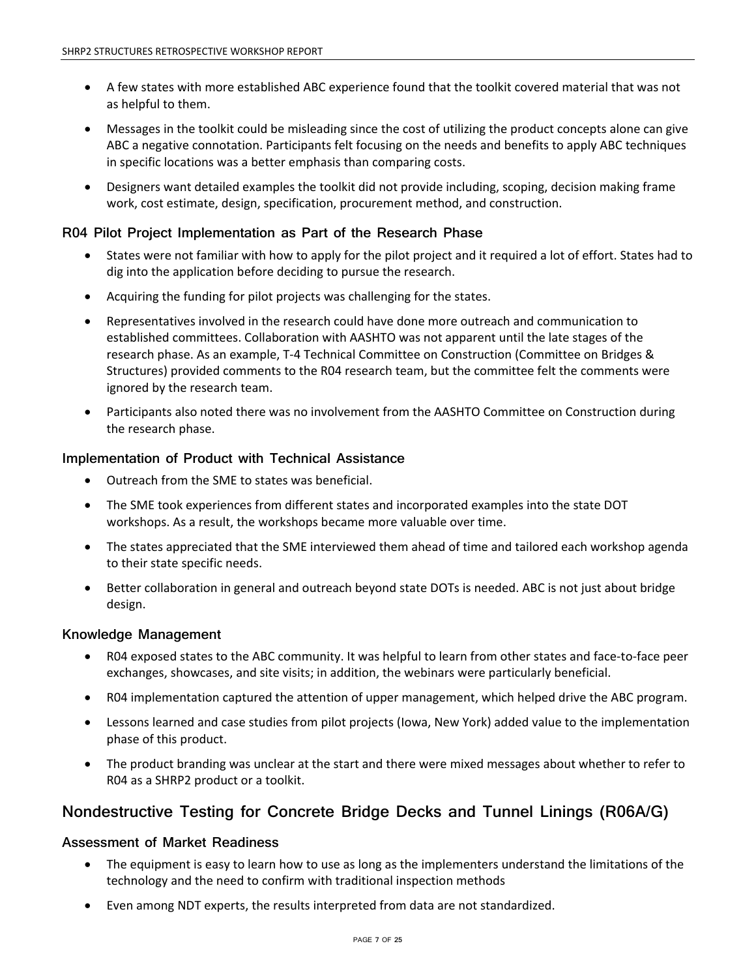- A few states with more established ABC experience found that the toolkit covered material that was not as helpful to them.
- Messages in the toolkit could be misleading since the cost of utilizing the product concepts alone can give ABC a negative connotation. Participants felt focusing on the needs and benefits to apply ABC techniques in specific locations was a better emphasis than comparing costs.
- Designers want detailed examples the toolkit did not provide including, scoping, decision making frame work, cost estimate, design, specification, procurement method, and construction.

## **R04 Pilot Project Implementation as Part of the Research Phase**

- States were not familiar with how to apply for the pilot project and it required a lot of effort. States had to dig into the application before deciding to pursue the research.
- Acquiring the funding for pilot projects was challenging for the states.
- Representatives involved in the research could have done more outreach and communication to established committees. Collaboration with AASHTO was not apparent until the late stages of the research phase. As an example, T-4 Technical Committee on Construction (Committee on Bridges & Structures) provided comments to the R04 research team, but the committee felt the comments were ignored by the research team.
- Participants also noted there was no involvement from the AASHTO Committee on Construction during the research phase.

### **Implementation of Product with Technical Assistance**

- Outreach from the SME to states was beneficial.
- The SME took experiences from different states and incorporated examples into the state DOT workshops. As a result, the workshops became more valuable over time.
- The states appreciated that the SME interviewed them ahead of time and tailored each workshop agenda to their state specific needs.
- Better collaboration in general and outreach beyond state DOTs is needed. ABC is not just about bridge design.

### **Knowledge Management**

- R04 exposed states to the ABC community. It was helpful to learn from other states and face-to-face peer exchanges, showcases, and site visits; in addition, the webinars were particularly beneficial.
- R04 implementation captured the attention of upper management, which helped drive the ABC program.
- Lessons learned and case studies from pilot projects (Iowa, New York) added value to the implementation phase of this product.
- The product branding was unclear at the start and there were mixed messages about whether to refer to R04 as a SHRP2 product or a toolkit.

## **Nondestructive Testing for Concrete Bridge Decks and Tunnel Linings (R06A/G)**

### **Assessment of Market Readiness**

- The equipment is easy to learn how to use as long as the implementers understand the limitations of the technology and the need to confirm with traditional inspection methods
- Even among NDT experts, the results interpreted from data are not standardized.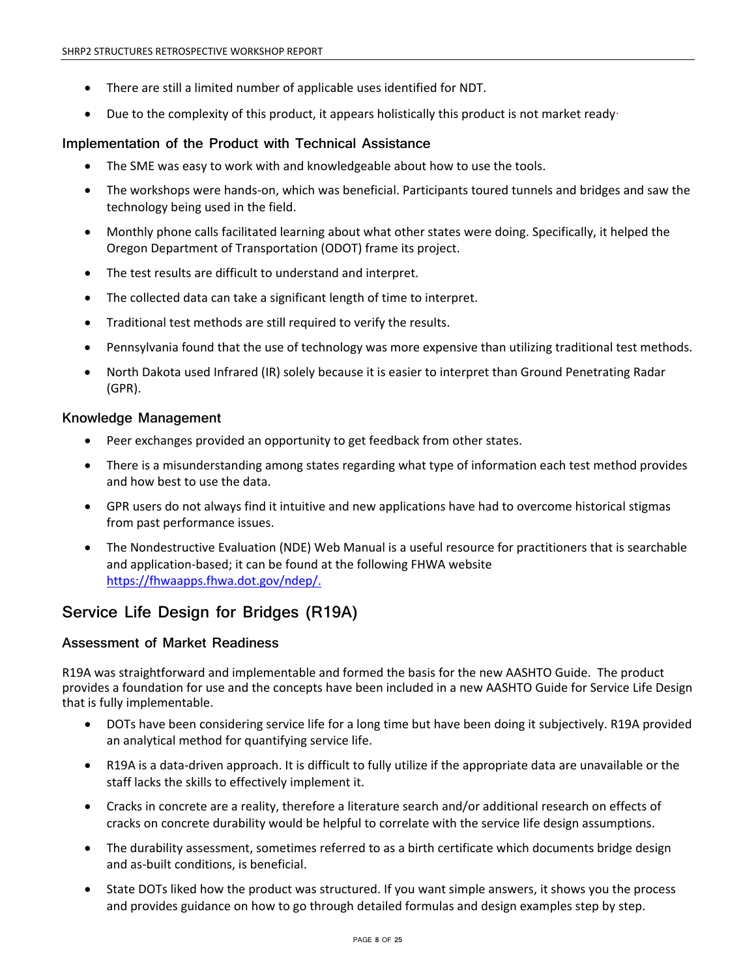- There are still a limited number of applicable uses identified for NDT.
- Due to the complexity of this product, it appears holistically this product is not market ready-

## **Implementation of the Product with Technical Assistance**

- The SME was easy to work with and knowledgeable about how to use the tools.
- The workshops were hands-on, which was beneficial. Participants toured tunnels and bridges and saw the technology being used in the field.
- Monthly phone calls facilitated learning about what other states were doing. Specifically, it helped the Oregon Department of Transportation (ODOT) frame its project.
- The test results are difficult to understand and interpret.
- The collected data can take a significant length of time to interpret.
- Traditional test methods are still required to verify the results.
- Pennsylvania found that the use of technology was more expensive than utilizing traditional test methods.
- North Dakota used Infrared (IR) solely because it is easier to interpret than Ground Penetrating Radar (GPR).

### **Knowledge Management**

- Peer exchanges provided an opportunity to get feedback from other states.
- There is a misunderstanding among states regarding what type of information each test method provides and how best to use the data.
- GPR users do not always find it intuitive and new applications have had to overcome historical stigmas from past performance issues.
- The Nondestructive Evaluation (NDE) Web Manual is a useful resource for practitioners that is searchable and application-based; it can be found at the following FHWA website [https://fhwaapps.fhwa.dot.gov/ndep/.](https://fhwaapps.fhwa.dot.gov/ndep/)

## **Service Life Design for Bridges (R19A)**

### **Assessment of Market Readiness**

R19A was straightforward and implementable and formed the basis for the new AASHTO Guide. The product provides a foundation for use and the concepts have been included in a new AASHTO Guide for Service Life Design that is fully implementable.

- DOTs have been considering service life for a long time but have been doing it subjectively. R19A provided an analytical method for quantifying service life.
- R19A is a data-driven approach. It is difficult to fully utilize if the appropriate data are unavailable or the staff lacks the skills to effectively implement it.
- Cracks in concrete are a reality, therefore a literature search and/or additional research on effects of cracks on concrete durability would be helpful to correlate with the service life design assumptions.
- The durability assessment, sometimes referred to as a birth certificate which documents bridge design and as-built conditions, is beneficial.
- State DOTs liked how the product was structured. If you want simple answers, it shows you the process and provides guidance on how to go through detailed formulas and design examples step by step.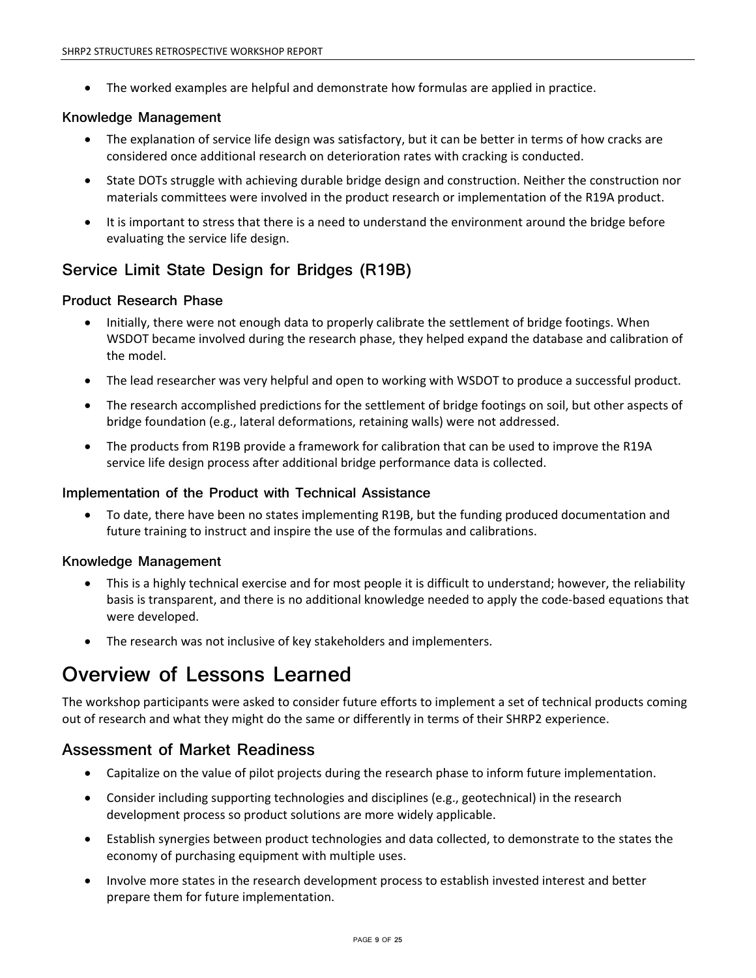• The worked examples are helpful and demonstrate how formulas are applied in practice.

### **Knowledge Management**

- The explanation of service life design was satisfactory, but it can be better in terms of how cracks are considered once additional research on deterioration rates with cracking is conducted.
- State DOTs struggle with achieving durable bridge design and construction. Neither the construction nor materials committees were involved in the product research or implementation of the R19A product.
- It is important to stress that there is a need to understand the environment around the bridge before evaluating the service life design.

## **Service Limit State Design for Bridges (R19B)**

### **Product Research Phase**

- Initially, there were not enough data to properly calibrate the settlement of bridge footings. When WSDOT became involved during the research phase, they helped expand the database and calibration of the model.
- The lead researcher was very helpful and open to working with WSDOT to produce a successful product.
- The research accomplished predictions for the settlement of bridge footings on soil, but other aspects of bridge foundation (e.g., lateral deformations, retaining walls) were not addressed.
- The products from R19B provide a framework for calibration that can be used to improve the R19A service life design process after additional bridge performance data is collected.

### **Implementation of the Product with Technical Assistance**

• To date, there have been no states implementing R19B, but the funding produced documentation and future training to instruct and inspire the use of the formulas and calibrations.

### **Knowledge Management**

- This is a highly technical exercise and for most people it is difficult to understand; however, the reliability basis is transparent, and there is no additional knowledge needed to apply the code-based equations that were developed.
- The research was not inclusive of key stakeholders and implementers.

## **Overview of Lessons Learned**

The workshop participants were asked to consider future efforts to implement a set of technical products coming out of research and what they might do the same or differently in terms of their SHRP2 experience.

## **Assessment of Market Readiness**

- Capitalize on the value of pilot projects during the research phase to inform future implementation.
- Consider including supporting technologies and disciplines (e.g., geotechnical) in the research development process so product solutions are more widely applicable.
- Establish synergies between product technologies and data collected, to demonstrate to the states the economy of purchasing equipment with multiple uses.
- Involve more states in the research development process to establish invested interest and better prepare them for future implementation.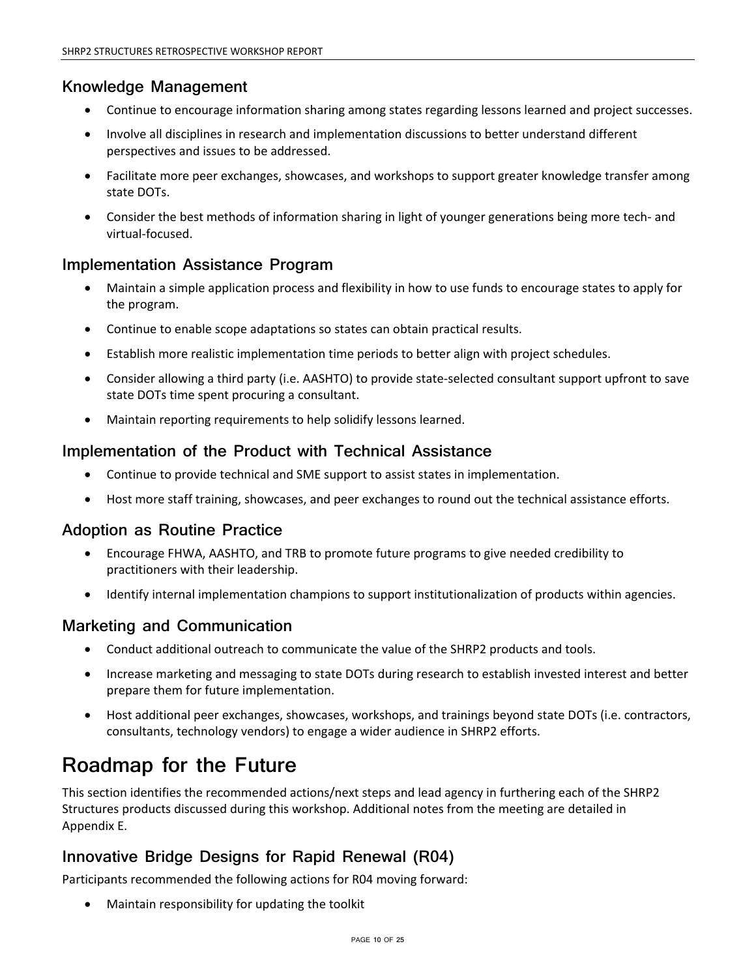## **Knowledge Management**

- Continue to encourage information sharing among states regarding lessons learned and project successes.
- Involve all disciplines in research and implementation discussions to better understand different perspectives and issues to be addressed.
- Facilitate more peer exchanges, showcases, and workshops to support greater knowledge transfer among state DOTs.
- Consider the best methods of information sharing in light of younger generations being more tech- and virtual-focused.

## **Implementation Assistance Program**

- Maintain a simple application process and flexibility in how to use funds to encourage states to apply for the program.
- Continue to enable scope adaptations so states can obtain practical results.
- Establish more realistic implementation time periods to better align with project schedules.
- Consider allowing a third party (i.e. AASHTO) to provide state-selected consultant support upfront to save state DOTs time spent procuring a consultant.
- Maintain reporting requirements to help solidify lessons learned.

## **Implementation of the Product with Technical Assistance**

- Continue to provide technical and SME support to assist states in implementation.
- Host more staff training, showcases, and peer exchanges to round out the technical assistance efforts.

## **Adoption as Routine Practice**

- Encourage FHWA, AASHTO, and TRB to promote future programs to give needed credibility to practitioners with their leadership.
- Identify internal implementation champions to support institutionalization of products within agencies.

## **Marketing and Communication**

- Conduct additional outreach to communicate the value of the SHRP2 products and tools.
- Increase marketing and messaging to state DOTs during research to establish invested interest and better prepare them for future implementation.
- Host additional peer exchanges, showcases, workshops, and trainings beyond state DOTs (i.e. contractors, consultants, technology vendors) to engage a wider audience in SHRP2 efforts.

# **Roadmap for the Future**

This section identifies the recommended actions/next steps and lead agency in furthering each of the SHRP2 Structures products discussed during this workshop. Additional notes from the meeting are detailed in Appendix E.

## **Innovative Bridge Designs for Rapid Renewal (R04)**

Participants recommended the following actions for R04 moving forward:

• Maintain responsibility for updating the toolkit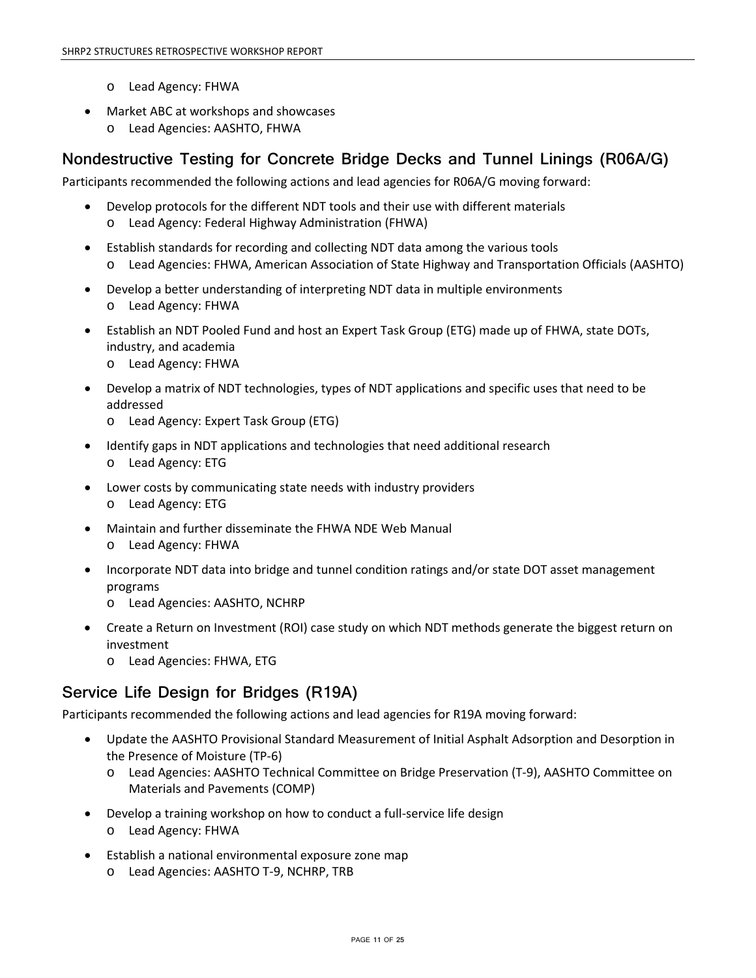- o Lead Agency: FHWA
- Market ABC at workshops and showcases
	- o Lead Agencies: AASHTO, FHWA

## **Nondestructive Testing for Concrete Bridge Decks and Tunnel Linings (R06A/G)**

Participants recommended the following actions and lead agencies for R06A/G moving forward:

- Develop protocols for the different NDT tools and their use with different materials o Lead Agency: Federal Highway Administration (FHWA)
- Establish standards for recording and collecting NDT data among the various tools o Lead Agencies: FHWA, American Association of State Highway and Transportation Officials (AASHTO)
- Develop a better understanding of interpreting NDT data in multiple environments o Lead Agency: FHWA
- Establish an NDT Pooled Fund and host an Expert Task Group (ETG) made up of FHWA, state DOTs, industry, and academia
	- o Lead Agency: FHWA
- Develop a matrix of NDT technologies, types of NDT applications and specific uses that need to be addressed
	- o Lead Agency: Expert Task Group (ETG)
- Identify gaps in NDT applications and technologies that need additional research o Lead Agency: ETG
- Lower costs by communicating state needs with industry providers o Lead Agency: ETG
- Maintain and further disseminate the FHWA NDE Web Manual o Lead Agency: FHWA
- Incorporate NDT data into bridge and tunnel condition ratings and/or state DOT asset management programs
	- o Lead Agencies: AASHTO, NCHRP
- Create a Return on Investment (ROI) case study on which NDT methods generate the biggest return on investment
	- o Lead Agencies: FHWA, ETG

## **Service Life Design for Bridges (R19A)**

Participants recommended the following actions and lead agencies for R19A moving forward:

- Update the AASHTO Provisional Standard Measurement of Initial Asphalt Adsorption and Desorption in the Presence of Moisture (TP-6)
	- o Lead Agencies: AASHTO Technical Committee on Bridge Preservation (T-9), AASHTO Committee on Materials and Pavements (COMP)
- Develop a training workshop on how to conduct a full-service life design o Lead Agency: FHWA
- Establish a national environmental exposure zone map o Lead Agencies: AASHTO T-9, NCHRP, TRB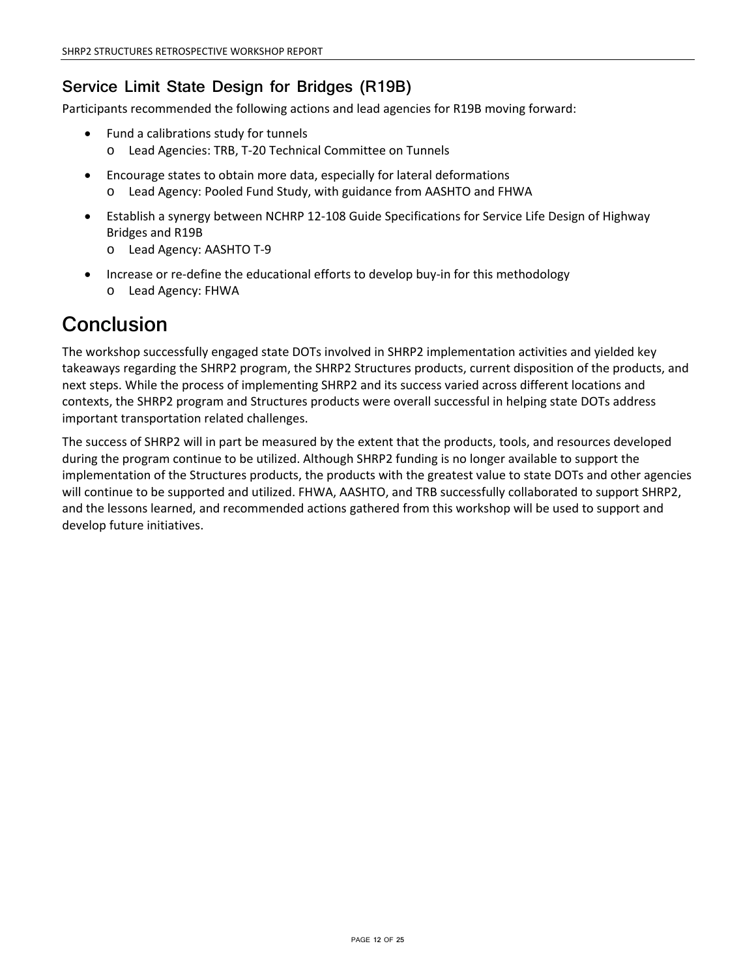## **Service Limit State Design for Bridges (R19B)**

Participants recommended the following actions and lead agencies for R19B moving forward:

- Fund a calibrations study for tunnels
	- o Lead Agencies: TRB, T-20 Technical Committee on Tunnels
- Encourage states to obtain more data, especially for lateral deformations o Lead Agency: Pooled Fund Study, with guidance from AASHTO and FHWA
- Establish a synergy between NCHRP 12-108 Guide Specifications for Service Life Design of Highway Bridges and R19B
	- o Lead Agency: AASHTO T-9
- Increase or re-define the educational efforts to develop buy-in for this methodology o Lead Agency: FHWA

# **Conclusion**

The workshop successfully engaged state DOTs involved in SHRP2 implementation activities and yielded key takeaways regarding the SHRP2 program, the SHRP2 Structures products, current disposition of the products, and next steps. While the process of implementing SHRP2 and its success varied across different locations and contexts, the SHRP2 program and Structures products were overall successful in helping state DOTs address important transportation related challenges.

The success of SHRP2 will in part be measured by the extent that the products, tools, and resources developed during the program continue to be utilized. Although SHRP2 funding is no longer available to support the implementation of the Structures products, the products with the greatest value to state DOTs and other agencies will continue to be supported and utilized. FHWA, AASHTO, and TRB successfully collaborated to support SHRP2, and the lessons learned, and recommended actions gathered from this workshop will be used to support and develop future initiatives.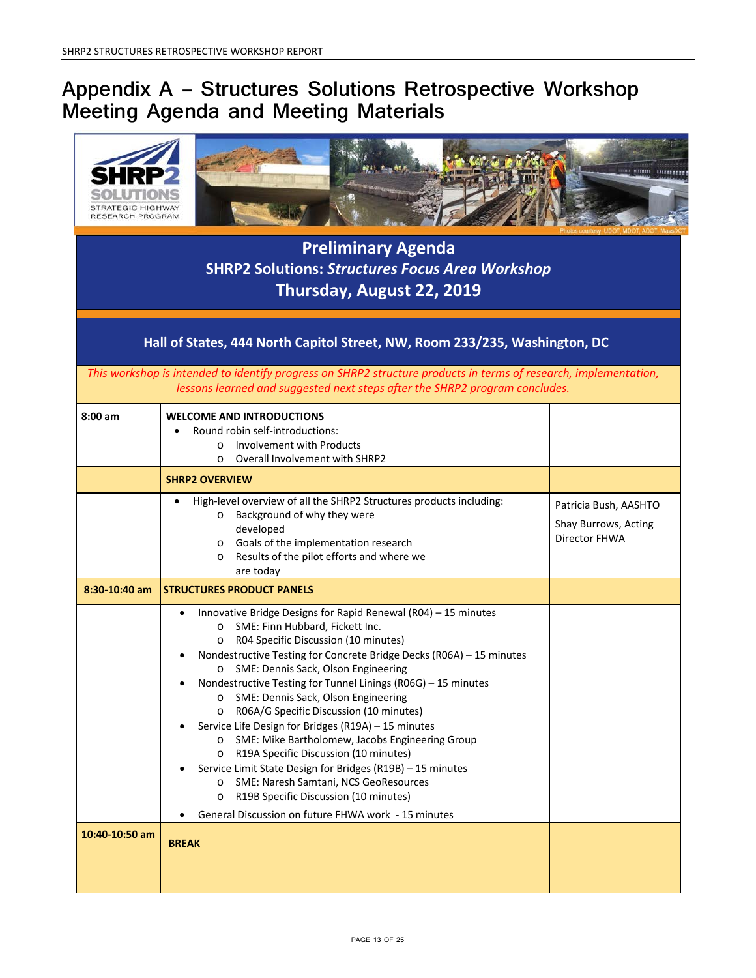# **Appendix A – Structures Solutions Retrospective Workshop Meeting Agenda and Meeting Materials**

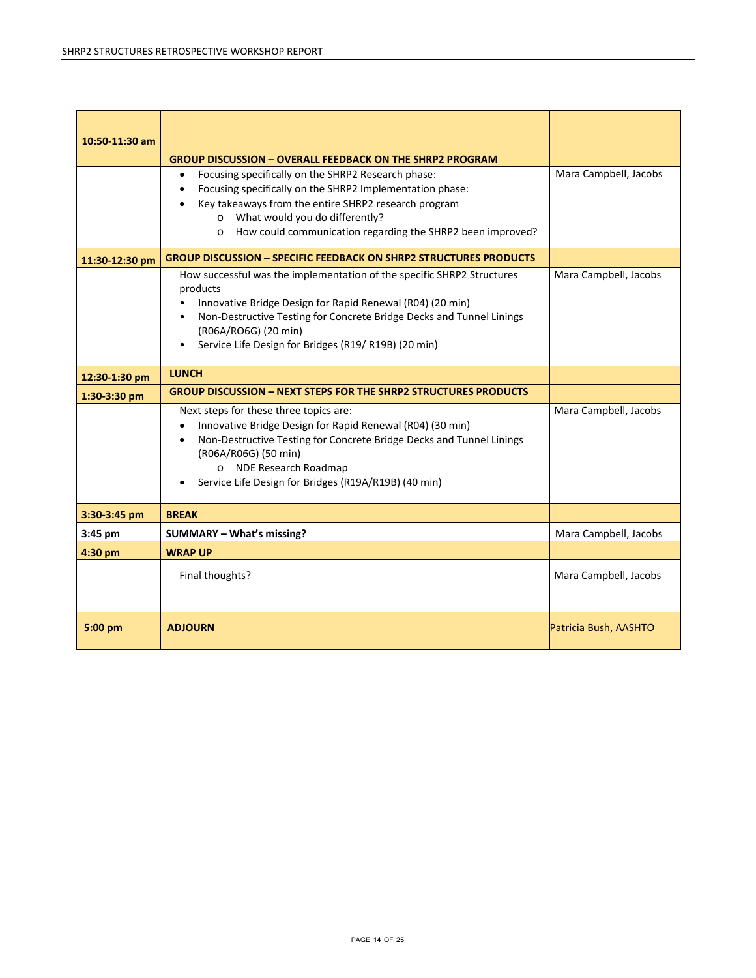| 10:50-11:30 am | <b>GROUP DISCUSSION - OVERALL FEEDBACK ON THE SHRP2 PROGRAM</b><br>Focusing specifically on the SHRP2 Research phase:<br>$\bullet$                                                                                                                                                    | Mara Campbell, Jacobs |
|----------------|---------------------------------------------------------------------------------------------------------------------------------------------------------------------------------------------------------------------------------------------------------------------------------------|-----------------------|
|                | Focusing specifically on the SHRP2 Implementation phase:<br>$\bullet$                                                                                                                                                                                                                 |                       |
|                | Key takeaways from the entire SHRP2 research program                                                                                                                                                                                                                                  |                       |
|                | o What would you do differently?<br>How could communication regarding the SHRP2 been improved?<br>$\circ$                                                                                                                                                                             |                       |
|                |                                                                                                                                                                                                                                                                                       |                       |
| 11:30-12:30 pm | <b>GROUP DISCUSSION - SPECIFIC FEEDBACK ON SHRP2 STRUCTURES PRODUCTS</b>                                                                                                                                                                                                              |                       |
|                | How successful was the implementation of the specific SHRP2 Structures<br>products                                                                                                                                                                                                    | Mara Campbell, Jacobs |
|                | Innovative Bridge Design for Rapid Renewal (R04) (20 min)                                                                                                                                                                                                                             |                       |
|                | Non-Destructive Testing for Concrete Bridge Decks and Tunnel Linings                                                                                                                                                                                                                  |                       |
|                | (R06A/RO6G) (20 min)                                                                                                                                                                                                                                                                  |                       |
|                | Service Life Design for Bridges (R19/R19B) (20 min)                                                                                                                                                                                                                                   |                       |
| 12:30-1:30 pm  | <b>LUNCH</b>                                                                                                                                                                                                                                                                          |                       |
| 1:30-3:30 pm   | <b>GROUP DISCUSSION - NEXT STEPS FOR THE SHRP2 STRUCTURES PRODUCTS</b>                                                                                                                                                                                                                |                       |
|                | Next steps for these three topics are:<br>Innovative Bridge Design for Rapid Renewal (R04) (30 min)<br>Non-Destructive Testing for Concrete Bridge Decks and Tunnel Linings<br>(R06A/R06G) (50 min)<br>o NDE Research Roadmap<br>Service Life Design for Bridges (R19A/R19B) (40 min) | Mara Campbell, Jacobs |
| 3:30-3:45 pm   | <b>BREAK</b>                                                                                                                                                                                                                                                                          |                       |
| 3:45 pm        | SUMMARY - What's missing?                                                                                                                                                                                                                                                             | Mara Campbell, Jacobs |
| 4:30 pm        | <b>WRAP UP</b>                                                                                                                                                                                                                                                                        |                       |
|                | Final thoughts?                                                                                                                                                                                                                                                                       | Mara Campbell, Jacobs |
| 5:00 pm        | <b>ADJOURN</b>                                                                                                                                                                                                                                                                        | Patricia Bush, AASHTO |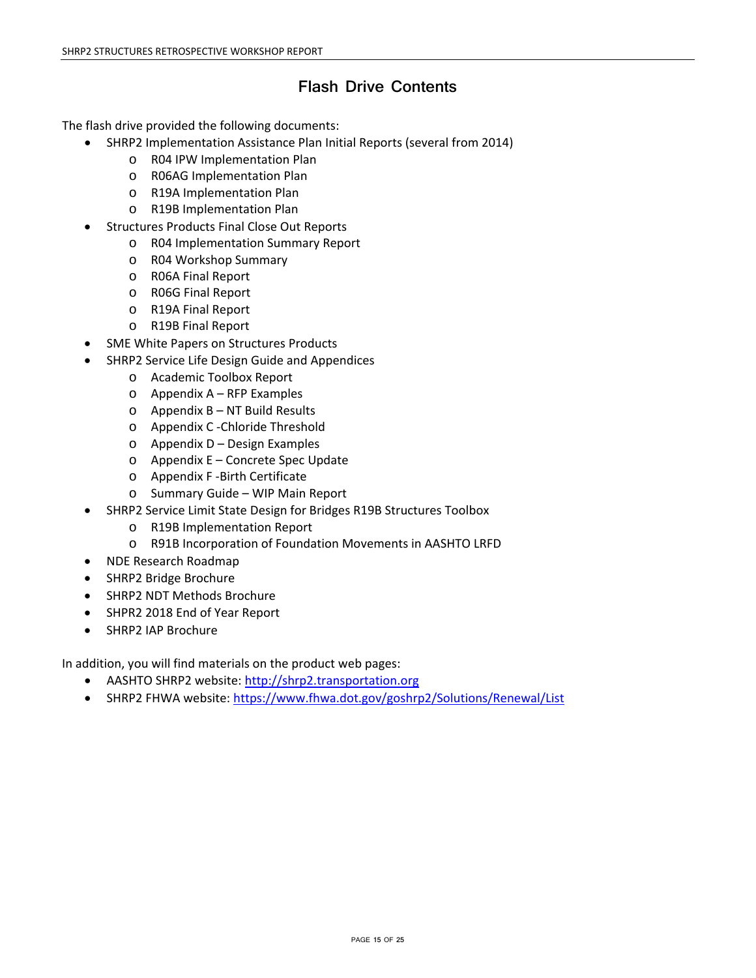## **Flash Drive Contents**

The flash drive provided the following documents:

- SHRP2 Implementation Assistance Plan Initial Reports (several from 2014)
	- o R04 IPW Implementation Plan
	- o R06AG Implementation Plan
	- o R19A Implementation Plan
	- o R19B Implementation Plan
- Structures Products Final Close Out Reports
	- o R04 Implementation Summary Report
	- o R04 Workshop Summary
	- o R06A Final Report
	- o R06G Final Report
	- o R19A Final Report
	- o R19B Final Report
- SME White Papers on Structures Products
- SHRP2 Service Life Design Guide and Appendices
	- o Academic Toolbox Report
	- o Appendix A RFP Examples
	- o Appendix B NT Build Results
	- o Appendix C -Chloride Threshold
	- o Appendix D Design Examples
	- o Appendix E Concrete Spec Update
	- o Appendix F -Birth Certificate
	- o Summary Guide WIP Main Report
- SHRP2 Service Limit State Design for Bridges R19B Structures Toolbox
	- o R19B Implementation Report
	- o R91B Incorporation of Foundation Movements in AASHTO LRFD
- NDE Research Roadmap
- SHRP2 Bridge Brochure
- SHRP2 NDT Methods Brochure
- SHPR2 2018 End of Year Report
- SHRP2 IAP Brochure

In addition, you will find materials on the product web pages:

- AASHTO SHRP2 website: [http://shrp2.transportation.org](http://shrp2.transportation.org/)
- SHRP2 FHWA website: <https://www.fhwa.dot.gov/goshrp2/Solutions/Renewal/List>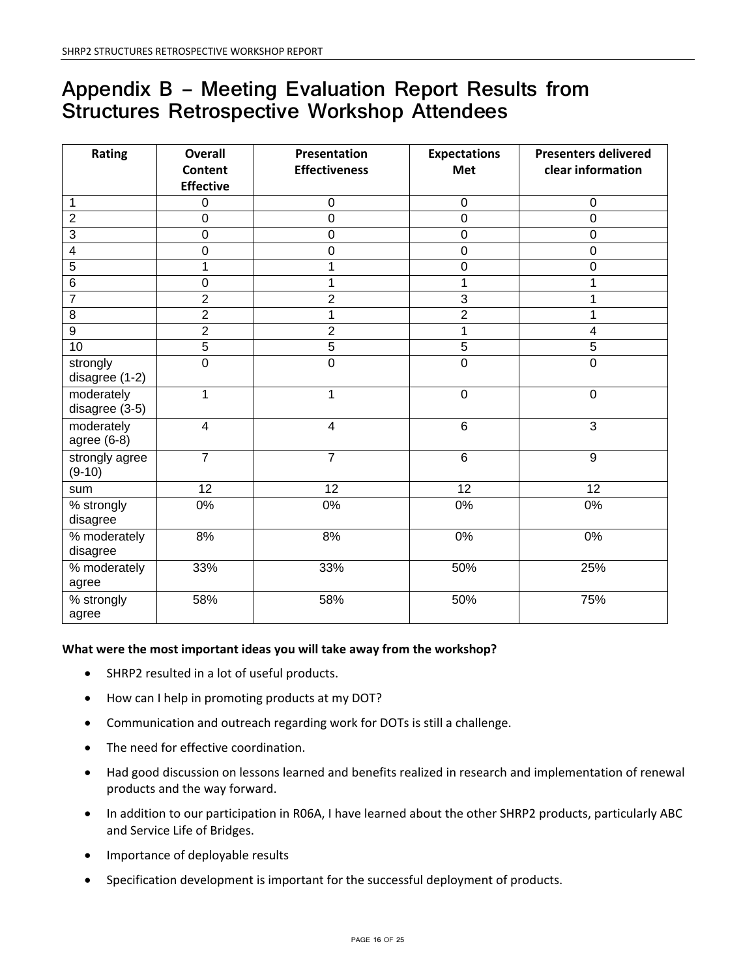# **Appendix B – Meeting Evaluation Report Results from Structures Retrospective Workshop Attendees**

| Rating                              | <b>Overall</b>   | Presentation         | <b>Expectations</b> | <b>Presenters delivered</b> |
|-------------------------------------|------------------|----------------------|---------------------|-----------------------------|
|                                     | <b>Content</b>   | <b>Effectiveness</b> | Met                 | clear information           |
|                                     | <b>Effective</b> |                      |                     |                             |
| $\mathbf{1}$                        | 0                | $\boldsymbol{0}$     | $\pmb{0}$           | $\pmb{0}$                   |
| $\overline{2}$                      | $\mathbf 0$      | 0                    | $\mathbf 0$         | $\mathbf 0$                 |
| $\overline{3}$                      | $\mathsf 0$      | $\boldsymbol{0}$     | $\pmb{0}$           | $\pmb{0}$                   |
| 4                                   | 0                | 0                    | $\mathbf 0$         | $\mathbf 0$                 |
| $\overline{5}$                      | 1                | 1                    | $\mathbf 0$         | $\mathbf 0$                 |
| 6                                   | 0                | 1                    | 1                   | 1                           |
| $\overline{7}$                      | $\overline{2}$   | $\overline{2}$       | $\overline{3}$      |                             |
| $\overline{8}$                      | $\overline{2}$   | 1                    | $\overline{2}$      | 1                           |
| 9                                   | $\overline{2}$   | $\overline{2}$       | 1                   | $\overline{\mathbf{4}}$     |
| 10                                  | $\overline{5}$   | $\overline{5}$       | 5                   | 5                           |
| strongly<br>disagree (1-2)          | $\overline{0}$   | $\overline{0}$       | $\overline{0}$      | $\overline{0}$              |
| moderately<br>disagree (3-5)        | 1                | $\overline{1}$       | $\overline{0}$      | $\mathbf 0$                 |
| moderately<br>agree (6-8)           | $\overline{4}$   | $\overline{4}$       | $\overline{6}$      | $\overline{3}$              |
| strongly agree<br>$(9-10)$          | $\overline{7}$   | $\overline{7}$       | $\overline{6}$      | $\overline{9}$              |
| sum                                 | $\overline{12}$  | $\overline{12}$      | $\overline{12}$     | $\overline{12}$             |
| % strongly<br>disagree              | 0%               | 0%                   | 0%                  | 0%                          |
| % moderately<br>disagree            | 8%               | 8%                   | 0%                  | $0\%$                       |
| $\overline{\%}$ moderately<br>agree | 33%              | 33%                  | 50%                 | 25%                         |
| % strongly<br>agree                 | 58%              | 58%                  | 50%                 | 75%                         |

## **What were the most important ideas you will take away from the workshop?**

- SHRP2 resulted in a lot of useful products.
- How can I help in promoting products at my DOT?
- Communication and outreach regarding work for DOTs is still a challenge.
- The need for effective coordination.
- Had good discussion on lessons learned and benefits realized in research and implementation of renewal products and the way forward.
- In addition to our participation in R06A, I have learned about the other SHRP2 products, particularly ABC and Service Life of Bridges.
- Importance of deployable results
- Specification development is important for the successful deployment of products.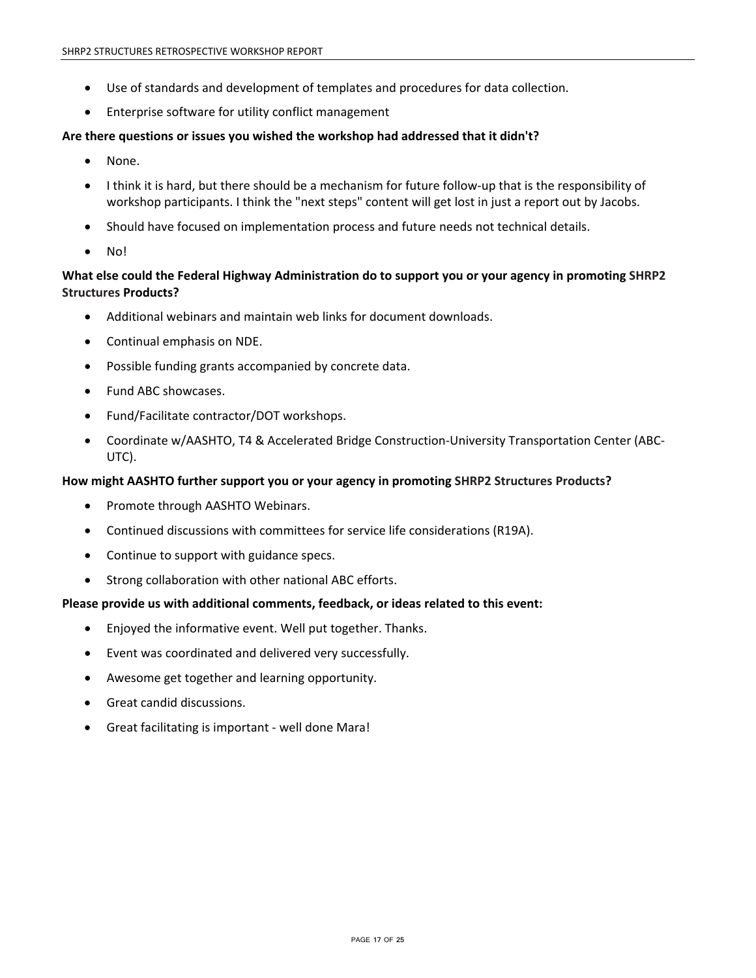- Use of standards and development of templates and procedures for data collection.
- Enterprise software for utility conflict management

### **Are there questions or issues you wished the workshop had addressed that it didn't?**

- None.
- I think it is hard, but there should be a mechanism for future follow-up that is the responsibility of workshop participants. I think the "next steps" content will get lost in just a report out by Jacobs.
- Should have focused on implementation process and future needs not technical details.
- No!

## **What else could the Federal Highway Administration do to support you or your agency in promoting SHRP2 Structures Products?**

- Additional webinars and maintain web links for document downloads.
- Continual emphasis on NDE.
- Possible funding grants accompanied by concrete data.
- Fund ABC showcases.
- Fund/Facilitate contractor/DOT workshops.
- Coordinate w/AASHTO, T4 & Accelerated Bridge Construction-University Transportation Center (ABC-UTC).

### **How might AASHTO further support you or your agency in promoting SHRP2 Structures Products?**

- Promote through AASHTO Webinars.
- Continued discussions with committees for service life considerations (R19A).
- Continue to support with guidance specs.
- Strong collaboration with other national ABC efforts.

### **Please provide us with additional comments, feedback, or ideas related to this event:**

- Enjoyed the informative event. Well put together. Thanks.
- Event was coordinated and delivered very successfully.
- Awesome get together and learning opportunity.
- Great candid discussions.
- Great facilitating is important well done Mara!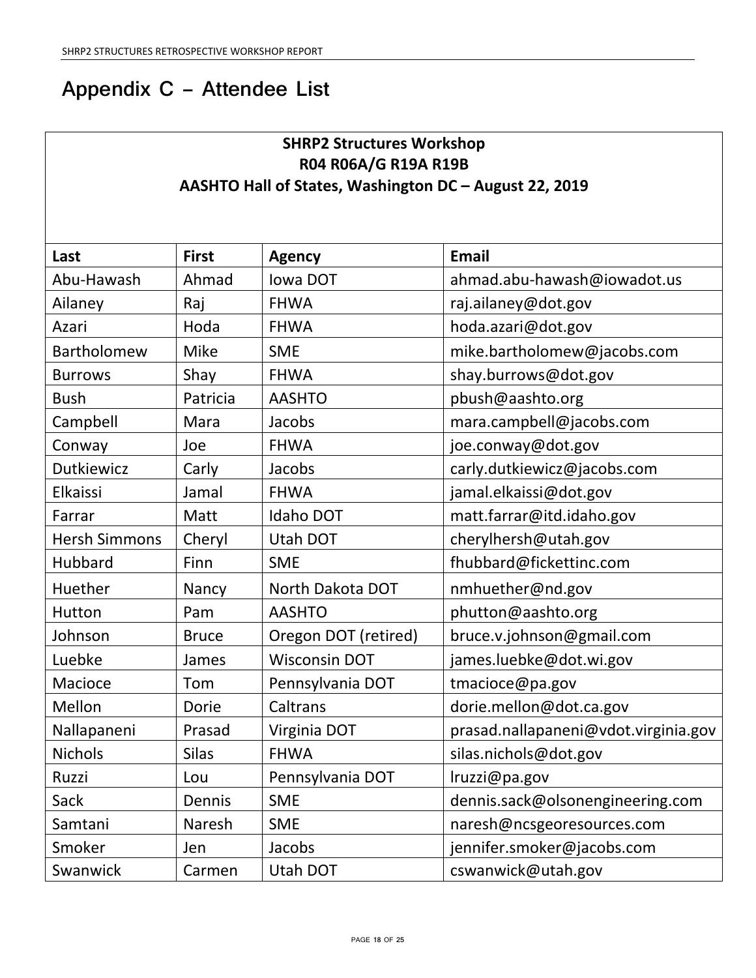# **Appendix C – Attendee List**

## **SHRP2 Structures Workshop R04 R06A/G R19A R19B AASHTO Hall of States, Washington DC – August 22, 2019**

| Last                 | <b>First</b> | <b>Agency</b>        | <b>Email</b>                         |
|----------------------|--------------|----------------------|--------------------------------------|
| Abu-Hawash           | Ahmad        | <b>Iowa DOT</b>      | ahmad.abu-hawash@iowadot.us          |
| Ailaney              | Raj          | <b>FHWA</b>          | raj.ailaney@dot.gov                  |
| Azari                | Hoda         | <b>FHWA</b>          | hoda.azari@dot.gov                   |
| Bartholomew          | <b>Mike</b>  | <b>SME</b>           | mike.bartholomew@jacobs.com          |
| <b>Burrows</b>       | Shay         | <b>FHWA</b>          | shay.burrows@dot.gov                 |
| <b>Bush</b>          | Patricia     | <b>AASHTO</b>        | pbush@aashto.org                     |
| Campbell             | Mara         | Jacobs               | mara.campbell@jacobs.com             |
| Conway               | Joe          | <b>FHWA</b>          | joe.conway@dot.gov                   |
| Dutkiewicz           | Carly        | Jacobs               | carly.dutkiewicz@jacobs.com          |
| Elkaissi             | Jamal        | <b>FHWA</b>          | jamal.elkaissi@dot.gov               |
| Farrar               | Matt         | Idaho DOT            | matt.farrar@itd.idaho.gov            |
| <b>Hersh Simmons</b> | Cheryl       | <b>Utah DOT</b>      | cherylhersh@utah.gov                 |
| Hubbard              | Finn         | <b>SME</b>           | fhubbard@fickettinc.com              |
| Huether              | Nancy        | North Dakota DOT     | nmhuether@nd.gov                     |
| Hutton               | Pam          | <b>AASHTO</b>        | phutton@aashto.org                   |
| Johnson              | <b>Bruce</b> | Oregon DOT (retired) | bruce.v.johnson@gmail.com            |
| Luebke               | James        | <b>Wisconsin DOT</b> | james.luebke@dot.wi.gov              |
| Macioce              | Tom          | Pennsylvania DOT     | tmacioce@pa.gov                      |
| Mellon               | Dorie        | Caltrans             | dorie.mellon@dot.ca.gov              |
| Nallapaneni          | Prasad       | Virginia DOT         | prasad.nallapaneni@vdot.virginia.gov |
| <b>Nichols</b>       | <b>Silas</b> | <b>FHWA</b>          | silas.nichols@dot.gov                |
| Ruzzi                | Lou          | Pennsylvania DOT     | Iruzzi@pa.gov                        |
| Sack                 | Dennis       | <b>SME</b>           | dennis.sack@olsonengineering.com     |
| Samtani              | Naresh       | <b>SME</b>           | naresh@ncsgeoresources.com           |
| Smoker               | Jen          | Jacobs               | jennifer.smoker@jacobs.com           |
| Swanwick             | Carmen       | Utah DOT             | cswanwick@utah.gov                   |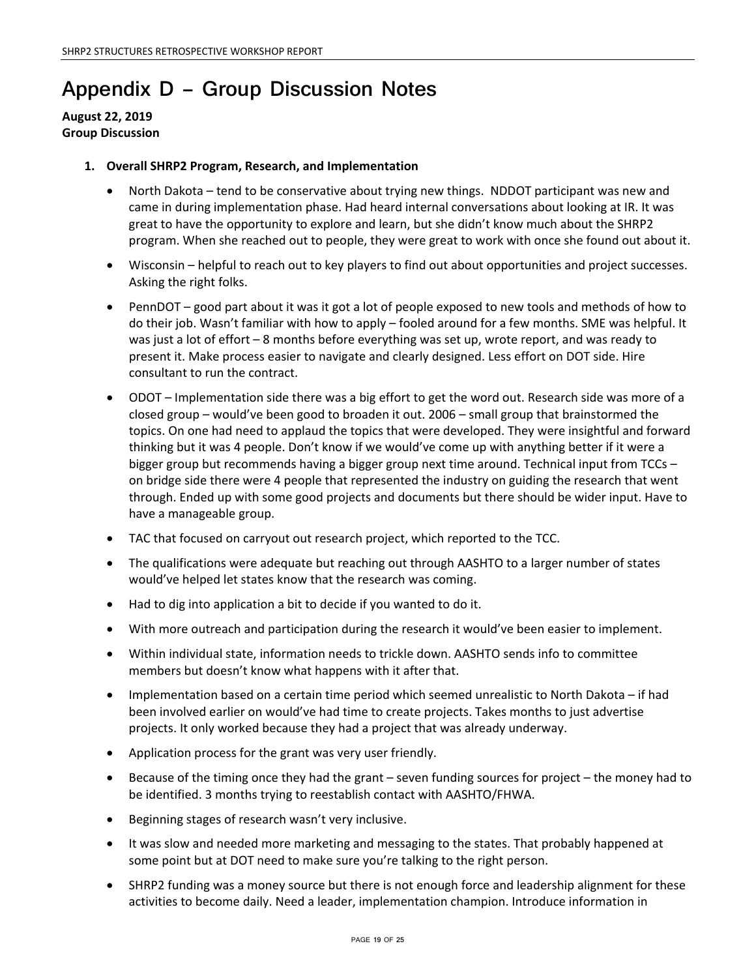# **Appendix D – Group Discussion Notes**

## **August 22, 2019 Group Discussion**

## **1. Overall SHRP2 Program, Research, and Implementation**

- North Dakota tend to be conservative about trying new things. NDDOT participant was new and came in during implementation phase. Had heard internal conversations about looking at IR. It was great to have the opportunity to explore and learn, but she didn't know much about the SHRP2 program. When she reached out to people, they were great to work with once she found out about it.
- Wisconsin helpful to reach out to key players to find out about opportunities and project successes. Asking the right folks.
- PennDOT good part about it was it got a lot of people exposed to new tools and methods of how to do their job. Wasn't familiar with how to apply – fooled around for a few months. SME was helpful. It was just a lot of effort – 8 months before everything was set up, wrote report, and was ready to present it. Make process easier to navigate and clearly designed. Less effort on DOT side. Hire consultant to run the contract.
- ODOT Implementation side there was a big effort to get the word out. Research side was more of a closed group – would've been good to broaden it out. 2006 – small group that brainstormed the topics. On one had need to applaud the topics that were developed. They were insightful and forward thinking but it was 4 people. Don't know if we would've come up with anything better if it were a bigger group but recommends having a bigger group next time around. Technical input from TCCs – on bridge side there were 4 people that represented the industry on guiding the research that went through. Ended up with some good projects and documents but there should be wider input. Have to have a manageable group.
- TAC that focused on carryout out research project, which reported to the TCC.
- The qualifications were adequate but reaching out through AASHTO to a larger number of states would've helped let states know that the research was coming.
- Had to dig into application a bit to decide if you wanted to do it.
- With more outreach and participation during the research it would've been easier to implement.
- Within individual state, information needs to trickle down. AASHTO sends info to committee members but doesn't know what happens with it after that.
- Implementation based on a certain time period which seemed unrealistic to North Dakota if had been involved earlier on would've had time to create projects. Takes months to just advertise projects. It only worked because they had a project that was already underway.
- Application process for the grant was very user friendly.
- Because of the timing once they had the grant seven funding sources for project the money had to be identified. 3 months trying to reestablish contact with AASHTO/FHWA.
- Beginning stages of research wasn't very inclusive.
- It was slow and needed more marketing and messaging to the states. That probably happened at some point but at DOT need to make sure you're talking to the right person.
- SHRP2 funding was a money source but there is not enough force and leadership alignment for these activities to become daily. Need a leader, implementation champion. Introduce information in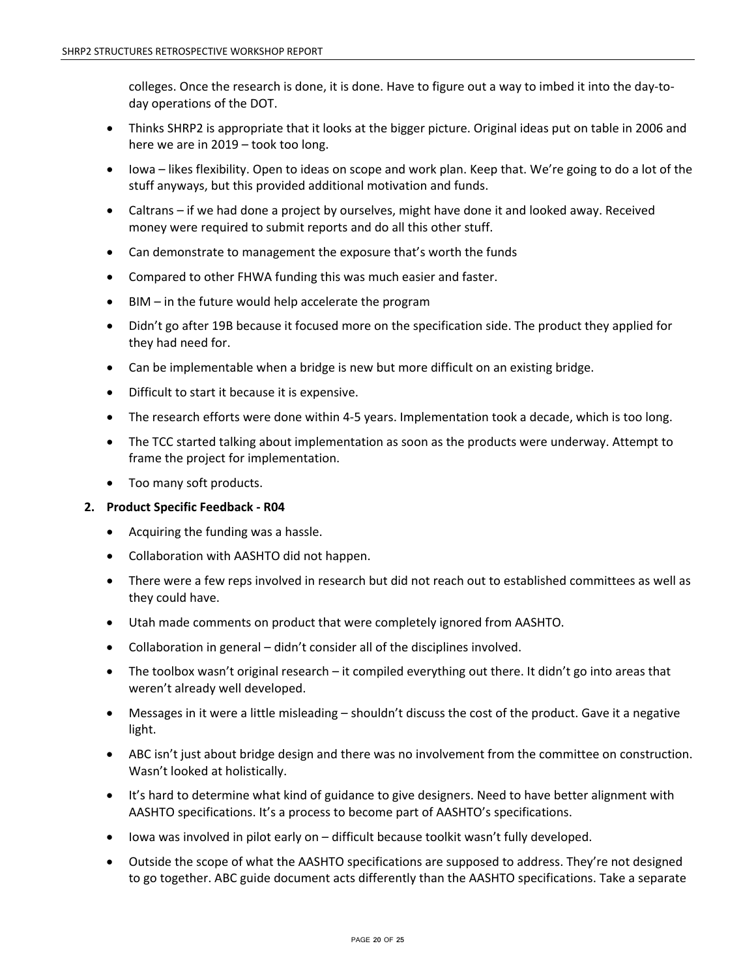colleges. Once the research is done, it is done. Have to figure out a way to imbed it into the day-today operations of the DOT.

- Thinks SHRP2 is appropriate that it looks at the bigger picture. Original ideas put on table in 2006 and here we are in 2019 – took too long.
- Iowa likes flexibility. Open to ideas on scope and work plan. Keep that. We're going to do a lot of the stuff anyways, but this provided additional motivation and funds.
- Caltrans if we had done a project by ourselves, might have done it and looked away. Received money were required to submit reports and do all this other stuff.
- Can demonstrate to management the exposure that's worth the funds
- Compared to other FHWA funding this was much easier and faster.
- $BIM in$  the future would help accelerate the program
- Didn't go after 19B because it focused more on the specification side. The product they applied for they had need for.
- Can be implementable when a bridge is new but more difficult on an existing bridge.
- Difficult to start it because it is expensive.
- The research efforts were done within 4-5 years. Implementation took a decade, which is too long.
- The TCC started talking about implementation as soon as the products were underway. Attempt to frame the project for implementation.
- Too many soft products.

### **2. Product Specific Feedback - R04**

- Acquiring the funding was a hassle.
- Collaboration with AASHTO did not happen.
- There were a few reps involved in research but did not reach out to established committees as well as they could have.
- Utah made comments on product that were completely ignored from AASHTO.
- Collaboration in general didn't consider all of the disciplines involved.
- The toolbox wasn't original research it compiled everything out there. It didn't go into areas that weren't already well developed.
- Messages in it were a little misleading shouldn't discuss the cost of the product. Gave it a negative light.
- ABC isn't just about bridge design and there was no involvement from the committee on construction. Wasn't looked at holistically.
- It's hard to determine what kind of guidance to give designers. Need to have better alignment with AASHTO specifications. It's a process to become part of AASHTO's specifications.
- Iowa was involved in pilot early on difficult because toolkit wasn't fully developed.
- Outside the scope of what the AASHTO specifications are supposed to address. They're not designed to go together. ABC guide document acts differently than the AASHTO specifications. Take a separate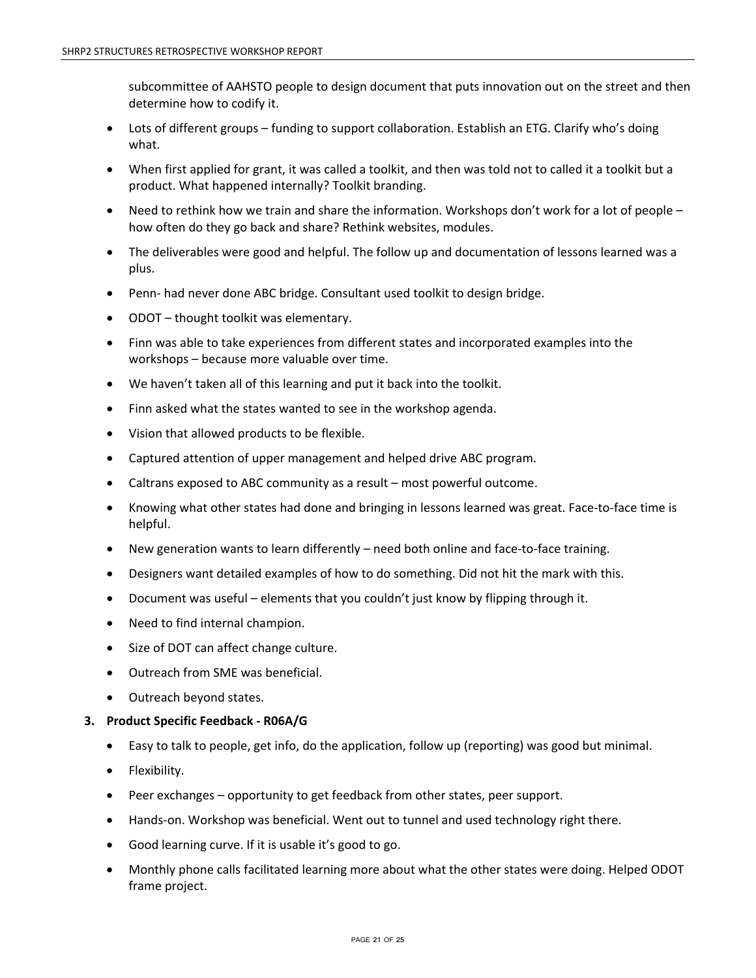subcommittee of AAHSTO people to design document that puts innovation out on the street and then determine how to codify it.

- Lots of different groups funding to support collaboration. Establish an ETG. Clarify who's doing what.
- When first applied for grant, it was called a toolkit, and then was told not to called it a toolkit but a product. What happened internally? Toolkit branding.
- Need to rethink how we train and share the information. Workshops don't work for a lot of people how often do they go back and share? Rethink websites, modules.
- The deliverables were good and helpful. The follow up and documentation of lessons learned was a plus.
- Penn- had never done ABC bridge. Consultant used toolkit to design bridge.
- ODOT thought toolkit was elementary.
- Finn was able to take experiences from different states and incorporated examples into the workshops – because more valuable over time.
- We haven't taken all of this learning and put it back into the toolkit.
- Finn asked what the states wanted to see in the workshop agenda.
- Vision that allowed products to be flexible.
- Captured attention of upper management and helped drive ABC program.
- Caltrans exposed to ABC community as a result most powerful outcome.
- Knowing what other states had done and bringing in lessons learned was great. Face-to-face time is helpful.
- New generation wants to learn differently need both online and face-to-face training.
- Designers want detailed examples of how to do something. Did not hit the mark with this.
- Document was useful elements that you couldn't just know by flipping through it.
- Need to find internal champion.
- Size of DOT can affect change culture.
- Outreach from SME was beneficial.
- Outreach beyond states.

### **3. Product Specific Feedback - R06A/G**

- Easy to talk to people, get info, do the application, follow up (reporting) was good but minimal.
- Flexibility.
- Peer exchanges opportunity to get feedback from other states, peer support.
- Hands-on. Workshop was beneficial. Went out to tunnel and used technology right there.
- Good learning curve. If it is usable it's good to go.
- Monthly phone calls facilitated learning more about what the other states were doing. Helped ODOT frame project.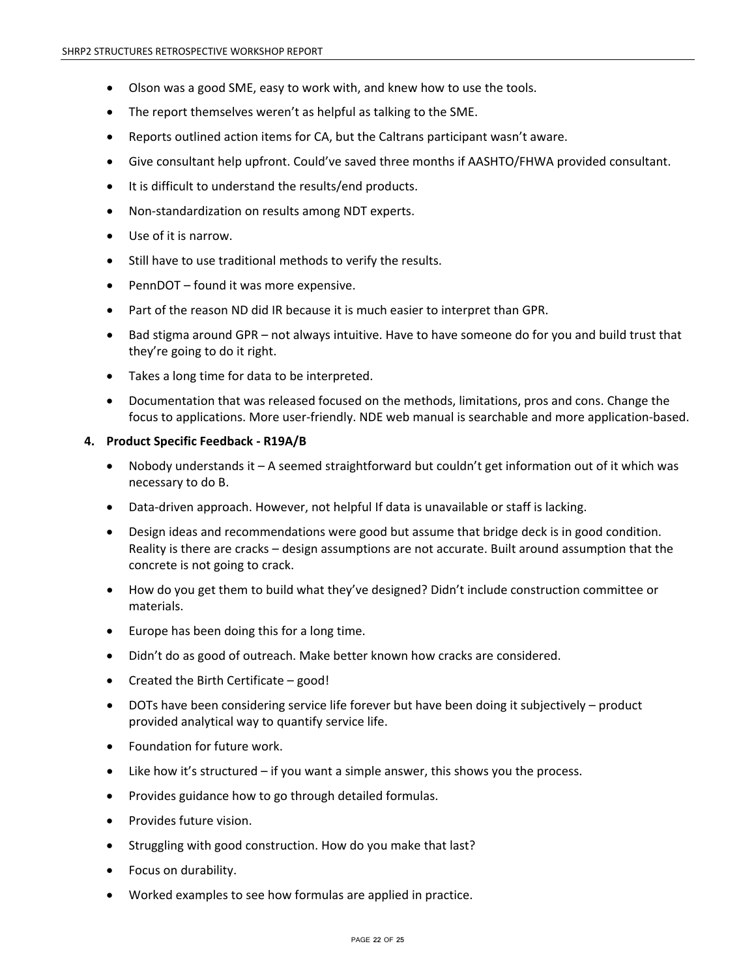- Olson was a good SME, easy to work with, and knew how to use the tools.
- The report themselves weren't as helpful as talking to the SME.
- Reports outlined action items for CA, but the Caltrans participant wasn't aware.
- Give consultant help upfront. Could've saved three months if AASHTO/FHWA provided consultant.
- It is difficult to understand the results/end products.
- Non-standardization on results among NDT experts.
- Use of it is narrow.
- Still have to use traditional methods to verify the results.
- PennDOT found it was more expensive.
- Part of the reason ND did IR because it is much easier to interpret than GPR.
- Bad stigma around GPR not always intuitive. Have to have someone do for you and build trust that they're going to do it right.
- Takes a long time for data to be interpreted.
- Documentation that was released focused on the methods, limitations, pros and cons. Change the focus to applications. More user-friendly. NDE web manual is searchable and more application-based.

#### **4. Product Specific Feedback - R19A/B**

- Nobody understands it A seemed straightforward but couldn't get information out of it which was necessary to do B.
- Data-driven approach. However, not helpful If data is unavailable or staff is lacking.
- Design ideas and recommendations were good but assume that bridge deck is in good condition. Reality is there are cracks – design assumptions are not accurate. Built around assumption that the concrete is not going to crack.
- How do you get them to build what they've designed? Didn't include construction committee or materials.
- Europe has been doing this for a long time.
- Didn't do as good of outreach. Make better known how cracks are considered.
- Created the Birth Certificate good!
- DOTs have been considering service life forever but have been doing it subjectively product provided analytical way to quantify service life.
- Foundation for future work.
- Like how it's structured  $-$  if you want a simple answer, this shows you the process.
- Provides guidance how to go through detailed formulas.
- Provides future vision.
- Struggling with good construction. How do you make that last?
- Focus on durability.
- Worked examples to see how formulas are applied in practice.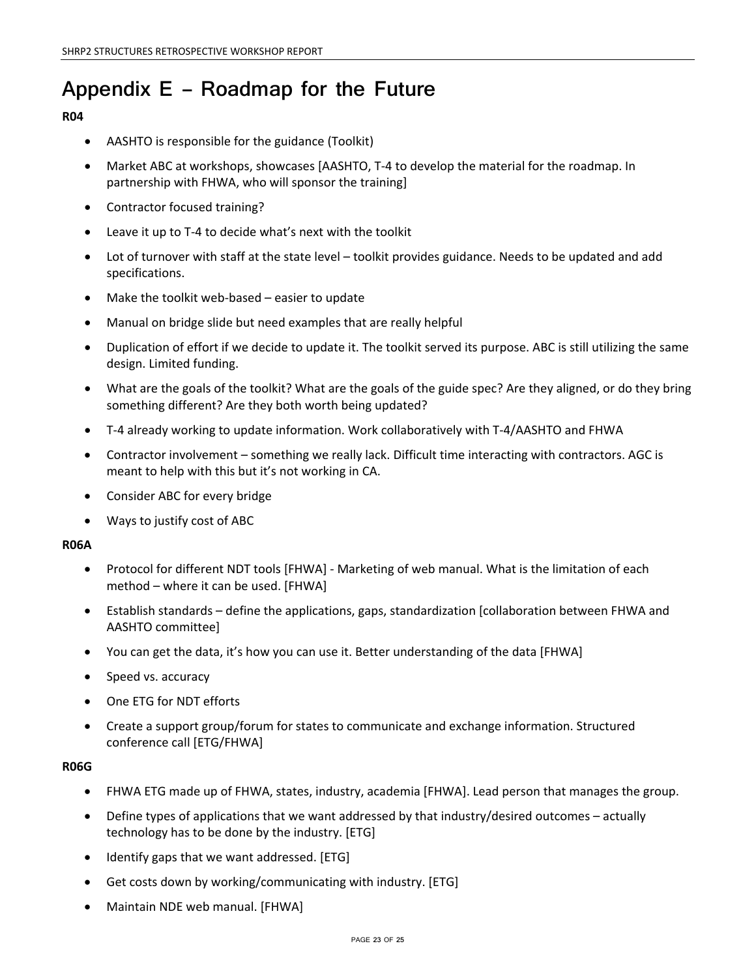# **Appendix E – Roadmap for the Future**

## **R04**

- AASHTO is responsible for the guidance (Toolkit)
- Market ABC at workshops, showcases [AASHTO, T-4 to develop the material for the roadmap. In partnership with FHWA, who will sponsor the training]
- Contractor focused training?
- Leave it up to T-4 to decide what's next with the toolkit
- Lot of turnover with staff at the state level toolkit provides guidance. Needs to be updated and add specifications.
- Make the toolkit web-based easier to update
- Manual on bridge slide but need examples that are really helpful
- Duplication of effort if we decide to update it. The toolkit served its purpose. ABC is still utilizing the same design. Limited funding.
- What are the goals of the toolkit? What are the goals of the guide spec? Are they aligned, or do they bring something different? Are they both worth being updated?
- T-4 already working to update information. Work collaboratively with T-4/AASHTO and FHWA
- Contractor involvement something we really lack. Difficult time interacting with contractors. AGC is meant to help with this but it's not working in CA.
- Consider ABC for every bridge
- Ways to justify cost of ABC

### **R06A**

- Protocol for different NDT tools [FHWA] Marketing of web manual. What is the limitation of each method – where it can be used. [FHWA]
- Establish standards define the applications, gaps, standardization [collaboration between FHWA and AASHTO committee]
- You can get the data, it's how you can use it. Better understanding of the data [FHWA]
- Speed vs. accuracy
- One ETG for NDT efforts
- Create a support group/forum for states to communicate and exchange information. Structured conference call [ETG/FHWA]

### **R06G**

- FHWA ETG made up of FHWA, states, industry, academia [FHWA]. Lead person that manages the group.
- Define types of applications that we want addressed by that industry/desired outcomes actually technology has to be done by the industry. [ETG]
- Identify gaps that we want addressed. [ETG]
- Get costs down by working/communicating with industry. [ETG]
- Maintain NDE web manual. [FHWA]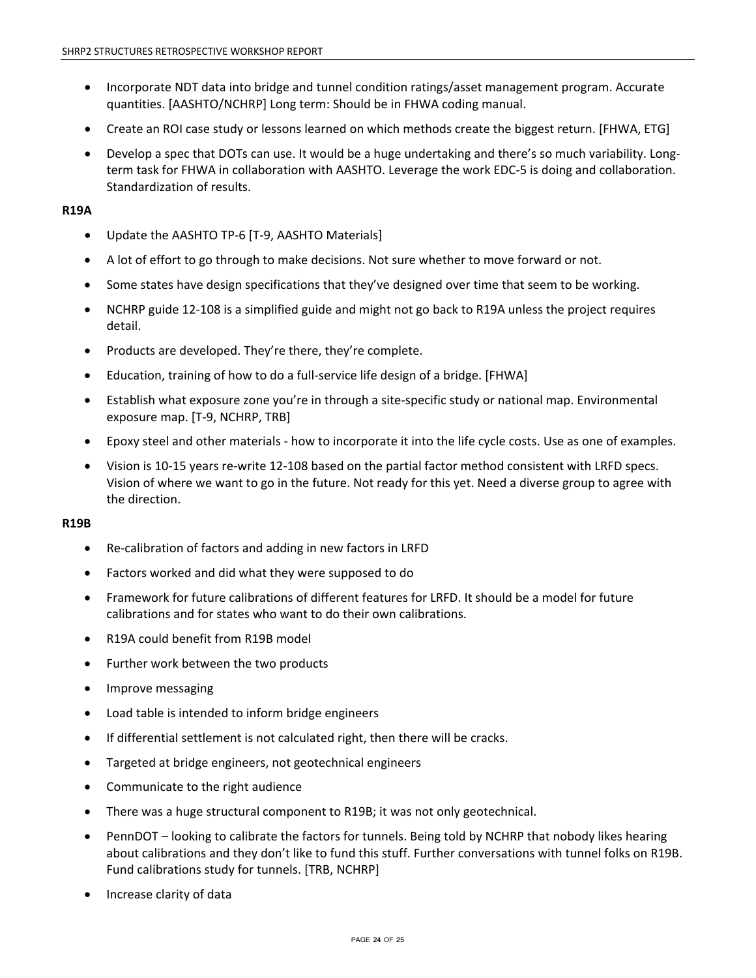- Incorporate NDT data into bridge and tunnel condition ratings/asset management program. Accurate quantities. [AASHTO/NCHRP] Long term: Should be in FHWA coding manual.
- Create an ROI case study or lessons learned on which methods create the biggest return. [FHWA, ETG]
- Develop a spec that DOTs can use. It would be a huge undertaking and there's so much variability. Longterm task for FHWA in collaboration with AASHTO. Leverage the work EDC-5 is doing and collaboration. Standardization of results.

### **R19A**

- Update the AASHTO TP-6 [T-9, AASHTO Materials]
- A lot of effort to go through to make decisions. Not sure whether to move forward or not.
- Some states have design specifications that they've designed over time that seem to be working.
- NCHRP guide 12-108 is a simplified guide and might not go back to R19A unless the project requires detail.
- Products are developed. They're there, they're complete.
- Education, training of how to do a full-service life design of a bridge. [FHWA]
- Establish what exposure zone you're in through a site-specific study or national map. Environmental exposure map. [T-9, NCHRP, TRB]
- Epoxy steel and other materials how to incorporate it into the life cycle costs. Use as one of examples.
- Vision is 10-15 years re-write 12-108 based on the partial factor method consistent with LRFD specs. Vision of where we want to go in the future. Not ready for this yet. Need a diverse group to agree with the direction.

### **R19B**

- Re-calibration of factors and adding in new factors in LRFD
- Factors worked and did what they were supposed to do
- Framework for future calibrations of different features for LRFD. It should be a model for future calibrations and for states who want to do their own calibrations.
- R19A could benefit from R19B model
- Further work between the two products
- Improve messaging
- Load table is intended to inform bridge engineers
- If differential settlement is not calculated right, then there will be cracks.
- Targeted at bridge engineers, not geotechnical engineers
- Communicate to the right audience
- There was a huge structural component to R19B; it was not only geotechnical.
- PennDOT looking to calibrate the factors for tunnels. Being told by NCHRP that nobody likes hearing about calibrations and they don't like to fund this stuff. Further conversations with tunnel folks on R19B. Fund calibrations study for tunnels. [TRB, NCHRP]
- Increase clarity of data